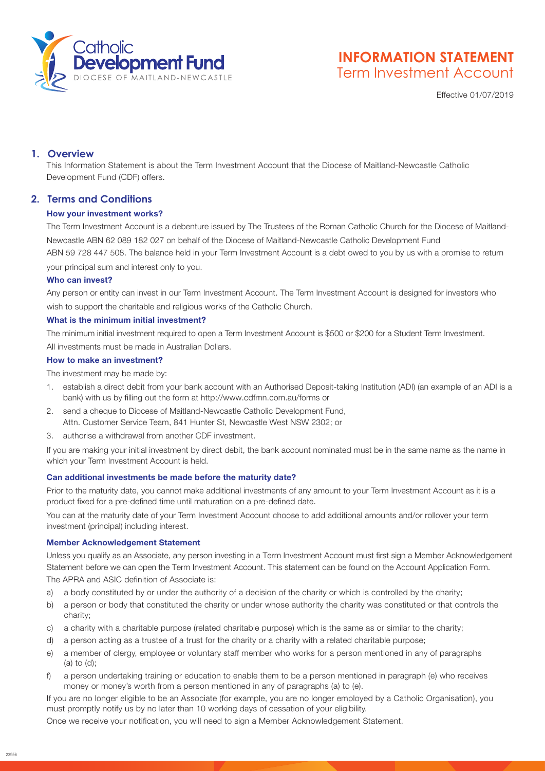

# **INFORMATION STATEMENT** Term Investment Account

Effective 01/07/2019

# **1. Overview**

This Information Statement is about the Term Investment Account that the Diocese of Maitland-Newcastle Catholic Development Fund (CDF) offers.

# **2. Terms and Conditions**

## How your investment works?

The Term Investment Account is a debenture issued by The Trustees of the Roman Catholic Church for the Diocese of Maitland-Newcastle ABN 62 089 182 027 on behalf of the Diocese of Maitland-Newcastle Catholic Development Fund ABN 59 728 447 508. The balance held in your Term Investment Account is a debt owed to you by us with a promise to return your principal sum and interest only to you.

## Who can invest?

Any person or entity can invest in our Term Investment Account. The Term Investment Account is designed for investors who wish to support the charitable and religious works of the Catholic Church.

## What is the minimum initial investment?

The minimum initial investment required to open a Term Investment Account is \$500 or \$200 for a Student Term Investment. All investments must be made in Australian Dollars.

## How to make an investment?

The investment may be made by:

- 1. establish a direct debit from your bank account with an Authorised Deposit-taking Institution (ADI) (an example of an ADI is a bank) with us by filling out the form at http://www.cdfmn.com.au/forms or
- 2. send a cheque to Diocese of Maitland-Newcastle Catholic Development Fund, Attn. Customer Service Team, 841 Hunter St, Newcastle West NSW 2302; or
- 3. authorise a withdrawal from another CDF investment.

If you are making your initial investment by direct debit, the bank account nominated must be in the same name as the name in which your Term Investment Account is held.

## Can additional investments be made before the maturity date?

Prior to the maturity date, you cannot make additional investments of any amount to your Term Investment Account as it is a product fixed for a pre-defined time until maturation on a pre-defined date.

You can at the maturity date of your Term Investment Account choose to add additional amounts and/or rollover your term investment (principal) including interest.

## Member Acknowledgement Statement

Unless you qualify as an Associate, any person investing in a Term Investment Account must first sign a Member Acknowledgement Statement before we can open the Term Investment Account. This statement can be found on the Account Application Form. The APRA and ASIC definition of Associate is:

- a) a body constituted by or under the authority of a decision of the charity or which is controlled by the charity;
- b) a person or body that constituted the charity or under whose authority the charity was constituted or that controls the charity;
- c) a charity with a charitable purpose (related charitable purpose) which is the same as or similar to the charity;
- d) a person acting as a trustee of a trust for the charity or a charity with a related charitable purpose;
- e) a member of clergy, employee or voluntary staff member who works for a person mentioned in any of paragraphs (a) to (d);
- f) a person undertaking training or education to enable them to be a person mentioned in paragraph (e) who receives money or money's worth from a person mentioned in any of paragraphs (a) to (e).

If you are no longer eligible to be an Associate (for example, you are no longer employed by a Catholic Organisation), you must promptly notify us by no later than 10 working days of cessation of your eligibility.

Once we receive your notification, you will need to sign a Member Acknowledgement Statement.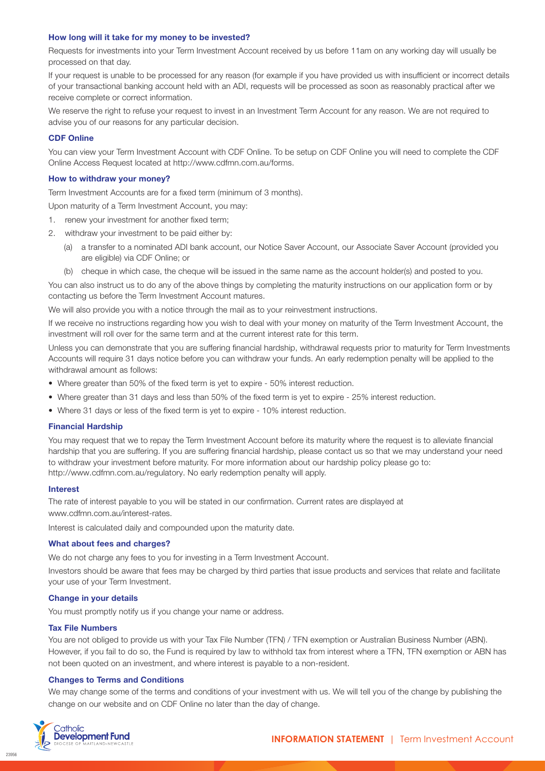#### How long will it take for my money to be invested?

Requests for investments into your Term Investment Account received by us before 11am on any working day will usually be processed on that day.

If your request is unable to be processed for any reason (for example if you have provided us with insufficient or incorrect details of your transactional banking account held with an ADI, requests will be processed as soon as reasonably practical after we receive complete or correct information.

We reserve the right to refuse your request to invest in an Investment Term Account for any reason. We are not required to advise you of our reasons for any particular decision.

#### CDF Online

You can view your Term Investment Account with CDF Online. To be setup on CDF Online you will need to complete the CDF Online Access Request located at http://www.cdfmn.com.au/forms.

#### How to withdraw your money?

Term Investment Accounts are for a fixed term (minimum of 3 months).

- Upon maturity of a Term Investment Account, you may:
- 1. renew your investment for another fixed term;
- 2. withdraw your investment to be paid either by:
	- (a) a transfer to a nominated ADI bank account, our Notice Saver Account, our Associate Saver Account (provided you are eligible) via CDF Online; or
	- (b) cheque in which case, the cheque will be issued in the same name as the account holder(s) and posted to you.

You can also instruct us to do any of the above things by completing the maturity instructions on our application form or by contacting us before the Term Investment Account matures.

We will also provide you with a notice through the mail as to your reinvestment instructions.

If we receive no instructions regarding how you wish to deal with your money on maturity of the Term Investment Account, the investment will roll over for the same term and at the current interest rate for this term.

Unless you can demonstrate that you are suffering financial hardship, withdrawal requests prior to maturity for Term Investments Accounts will require 31 days notice before you can withdraw your funds. An early redemption penalty will be applied to the withdrawal amount as follows:

- Where greater than 50% of the fixed term is yet to expire 50% interest reduction.
- Where greater than 31 days and less than 50% of the fixed term is yet to expire 25% interest reduction.
- Where 31 days or less of the fixed term is yet to expire 10% interest reduction.

#### Financial Hardship

You may request that we to repay the Term Investment Account before its maturity where the request is to alleviate financial hardship that you are suffering. If you are suffering financial hardship, please contact us so that we may understand your need to withdraw your investment before maturity. For more information about our hardship policy please go to: [http://www.cdfmn.com.au/regulatory.](http://www.cdfmn.com.au/regulatory) No early redemption penalty will apply.

#### Interest

The rate of interest payable to you will be stated in our confirmation. Current rates are displayed at [www.cdfmn.com.au/interest-rates.](www.cdfmn.com.au/interest-rates)

Interest is calculated daily and compounded upon the maturity date.

#### What about fees and charges?

We do not charge any fees to you for investing in a Term Investment Account.

Investors should be aware that fees may be charged by third parties that issue products and services that relate and facilitate your use of your Term Investment.

#### Change in your details

You must promptly notify us if you change your name or address.

#### Tax File Numbers

You are not obliged to provide us with your Tax File Number (TFN) / TFN exemption or Australian Business Number (ABN). However, if you fail to do so, the Fund is required by law to withhold tax from interest where a TFN, TFN exemption or ABN has not been quoted on an investment, and where interest is payable to a non-resident.

#### Changes to Terms and Conditions

We may change some of the terms and conditions of your investment with us. We will tell you of the change by publishing the change on our website and on CDF Online no later than the day of change.



23956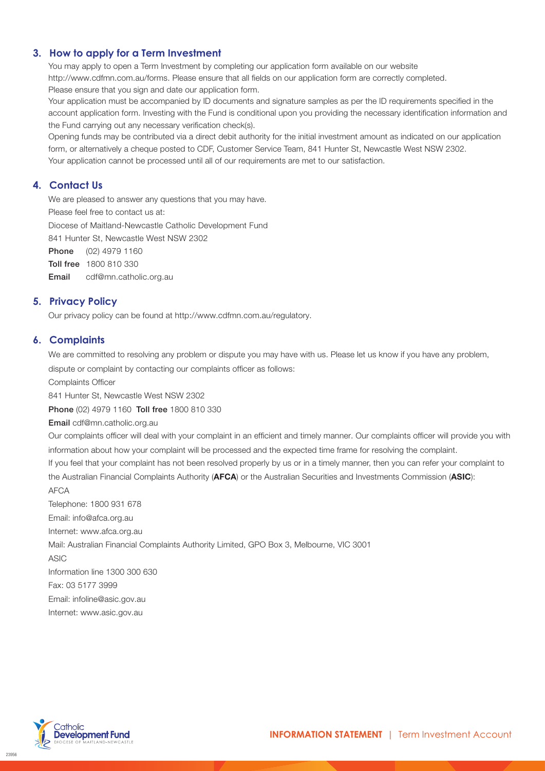# **3. How to apply for a Term Investment**

You may apply to open a Term Investment by completing our application form available on our website http://www.cdfmn.com.au/forms. Please ensure that all fields on our application form are correctly completed. Please ensure that you sign and date our application form.

Your application must be accompanied by ID documents and signature samples as per the ID requirements specified in the account application form. Investing with the Fund is conditional upon you providing the necessary identification information and the Fund carrying out any necessary verification check(s).

Opening funds may be contributed via a direct debit authority for the initial investment amount as indicated on our application form, or alternatively a cheque posted to CDF, Customer Service Team, 841 Hunter St, Newcastle West NSW 2302. Your application cannot be processed until all of our requirements are met to our satisfaction.

# **4. Contact Us**

We are pleased to answer any questions that you may have.

Please feel free to contact us at:

Diocese of Maitland-Newcastle Catholic Development Fund

841 Hunter St, Newcastle West NSW 2302

Phone (02) 4979 1160

Toll free 1800 810 330

Email cdf@mn.catholic.org.au

# **5. Privacy Policy**

Our privacy policy can be found at <http://www.cdfmn.com.au/regulatory>.

# **6. Complaints**

We are committed to resolving any problem or dispute you may have with us. Please let us know if you have any problem, dispute or complaint by contacting our complaints officer as follows:

Complaints Officer

841 Hunter St, Newcastle West NSW 2302

Phone (02) 4979 1160 Toll free 1800 810 330

Email cdf@mn.catholic.org.au

Our complaints officer will deal with your complaint in an efficient and timely manner. Our complaints officer will provide you with information about how your complaint will be processed and the expected time frame for resolving the complaint.

If you feel that your complaint has not been resolved properly by us or in a timely manner, then you can refer your complaint to the Australian Financial Complaints Authority (**AFCA**) or the Australian Securities and Investments Commission (ASIC):

#### AFCA

Telephone: 1800 931 678 Email: info@afca.org.au Internet: www.afca.org.au Mail: Australian Financial Complaints Authority Limited, GPO Box 3, Melbourne, VIC 3001 ASIC Information line 1300 300 630 Fax: 03 5177 3999 Email: infoline@asic.gov.au